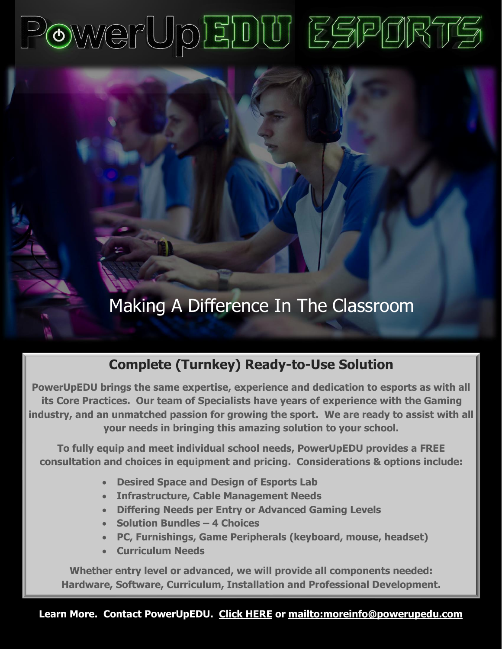# PowerUpEDU ESPORTS

# Making A Difference In The Classroom

## **Complete (Turnkey) Ready-to-Use Solution**

**PowerUpEDU brings the same expertise, experience and dedication to esports as with all its Core Practices. Our team of Specialists have years of experience with the Gaming industry, and an unmatched passion for growing the sport. We are ready to assist with all your needs in bringing this amazing solution to your school.** 

**To fully equip and meet individual school needs, PowerUpEDU provides a FREE consultation and choices in equipment and pricing. Considerations & options include:**

- **Desired Space and Design of Esports Lab**
- **Infrastructure, Cable Management Needs**
- **Differing Needs per Entry or Advanced Gaming Levels**
- **Solution Bundles – 4 Choices**
- **PC, Furnishings, Game Peripherals (keyboard, mouse, headset)**
- **Curriculum Needs**

**Whether entry level or advanced, we will provide all components needed: Hardware, Software, Curriculum, Installation and Professional Development.**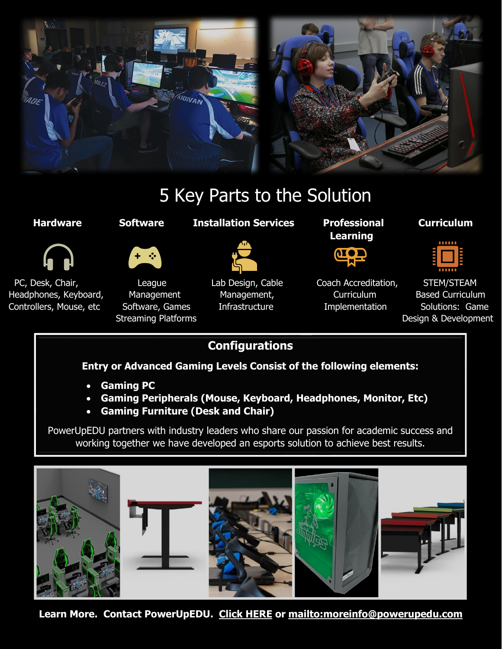

# 5 Key Parts to the Solution



Headphones, Keyboard, Management Management, Management, Curriculum Based Curriculum Controllers, Mouse Keyboard, Controllers, PC, Desk, Chair, **League** Lab Design, Cable Coach Accreditation, STEM/STEAM Controllers, Mouse, etc Software, Games Infrastructure in Implementation Solutions: Game



**Management** Software, Games Streaming Diatfo Streaming Platforms

#### **Hardware Software Installation Services Professional Curriculum**



**Management,** Infrastructure

 **Learning**



Implementation)

**Curriculum Implementation** Accreditation,



**Based Curriculum** Solutions: Game Curriculum Solutions<br>Collapside Solutions Streaming Platforms **Example 2** and the streaming Platforms and the streaming Design & Development

Development)

#### **Configurations**

**Entry or Advanced Gaming Levels Consist of the following elements:**

- **Gaming PC**
- **Gaming Peripherals (Mouse, Keyboard, Headphones, Monitor, Etc)**
- **Gaming Furniture (Desk and Chair)**

PowerUpEDU partners with industry leaders who share our passion for academic success and working together we have developed an esports solution to achieve best results.



**Learn More. Contact PowerUpED[U. Click HERE](https://powerupedu.com/contact-us/) or<mailto:moreinfo@powerupedu.com>**